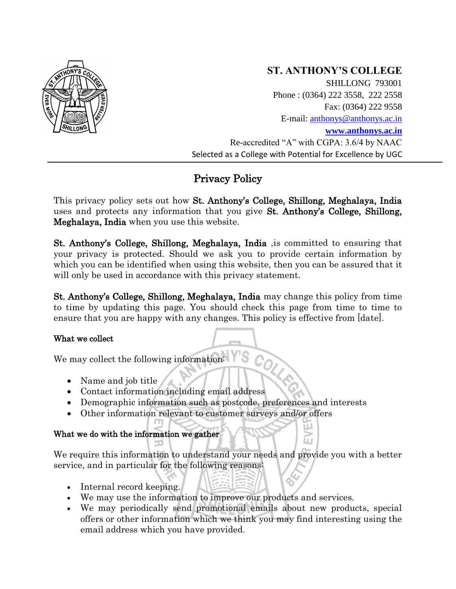

# **ST. ANTHONY'S COLLEGE**

SHILLONG 793001 Phone : (0364) 222 3558, 222 2558 Fax: (0364) 222 9558 E-mail: [anthonys@anthonys.ac.in](mailto:anthonys@anthonys.ac.in) **[www.anthonys.ac.in](http://www.anthonys.ac.in/)** Re-accredited "A" with CGPA: 3.6/4 by NAAC Selected as a College with Potential for Excellence by UGC

# Privacy Policy

This privacy policy sets out how St. Anthony's College, Shillong, Meghalaya, India uses and protects any information that you give St. Anthony's College, Shillong, Meghalaya, India when you use this website.

St. Anthony's College, Shillong, Meghalaya, India ,is committed to ensuring that your privacy is protected. Should we ask you to provide certain information by which you can be identified when using this website, then you can be assured that it will only be used in accordance with this privacy statement.

St. Anthony's College, Shillong, Meghalaya, India may change this policy from time to time by updating this page. You should check this page from time to time to ensure that you are happy with any changes. This policy is effective from [date].

GOLA

lш

### What we collect

We may collect the following information:

- Name and job title
- Contact information including email address
- Demographic information such as postcode, preferences and interests
- Other information relevant to customer surveys and/or offers

### What we do with the information we gather

We require this information to understand your needs and provide you with a better service, and in particular for the following reasons:

- Internal record keeping.
- We may use the information to improve our products and services.
- We may periodically send promotional emails about new products, special offers or other information which we think you may find interesting using the email address which you have provided.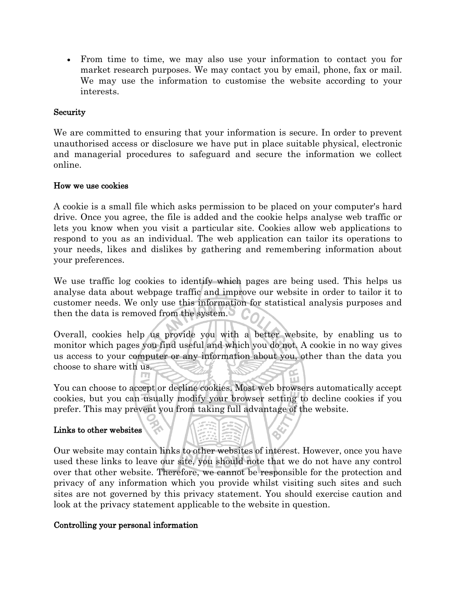From time to time, we may also use your information to contact you for market research purposes. We may contact you by email, phone, fax or mail. We may use the information to customise the website according to your interests.

#### Security

We are committed to ensuring that your information is secure. In order to prevent unauthorised access or disclosure we have put in place suitable physical, electronic and managerial procedures to safeguard and secure the information we collect online.

#### How we use cookies

A cookie is a small file which asks permission to be placed on your computer's hard drive. Once you agree, the file is added and the cookie helps analyse web traffic or lets you know when you visit a particular site. Cookies allow web applications to respond to you as an individual. The web application can tailor its operations to your needs, likes and dislikes by gathering and remembering information about your preferences.

We use traffic log cookies to identify which pages are being used. This helps us analyse data about webpage traffic and improve our website in order to tailor it to customer needs. We only use this information for statistical analysis purposes and then the data is removed from the system.

Overall, cookies help us provide you with a better website, by enabling us to monitor which pages you find useful and which you do not. A cookie in no way gives us access to your computer or any information about you, other than the data you choose to share with us.

You can choose to accept or decline cookies. Most web browsers automatically accept cookies, but you can usually modify your browser setting to decline cookies if you prefer. This may prevent you from taking full advantage of the website.

#### Links to other websites

Our website may contain links to other websites of interest. However, once you have used these links to leave our site, you should note that we do not have any control over that other website. Therefore, we cannot be responsible for the protection and privacy of any information which you provide whilst visiting such sites and such sites are not governed by this privacy statement. You should exercise caution and look at the privacy statement applicable to the website in question.

#### Controlling your personal information